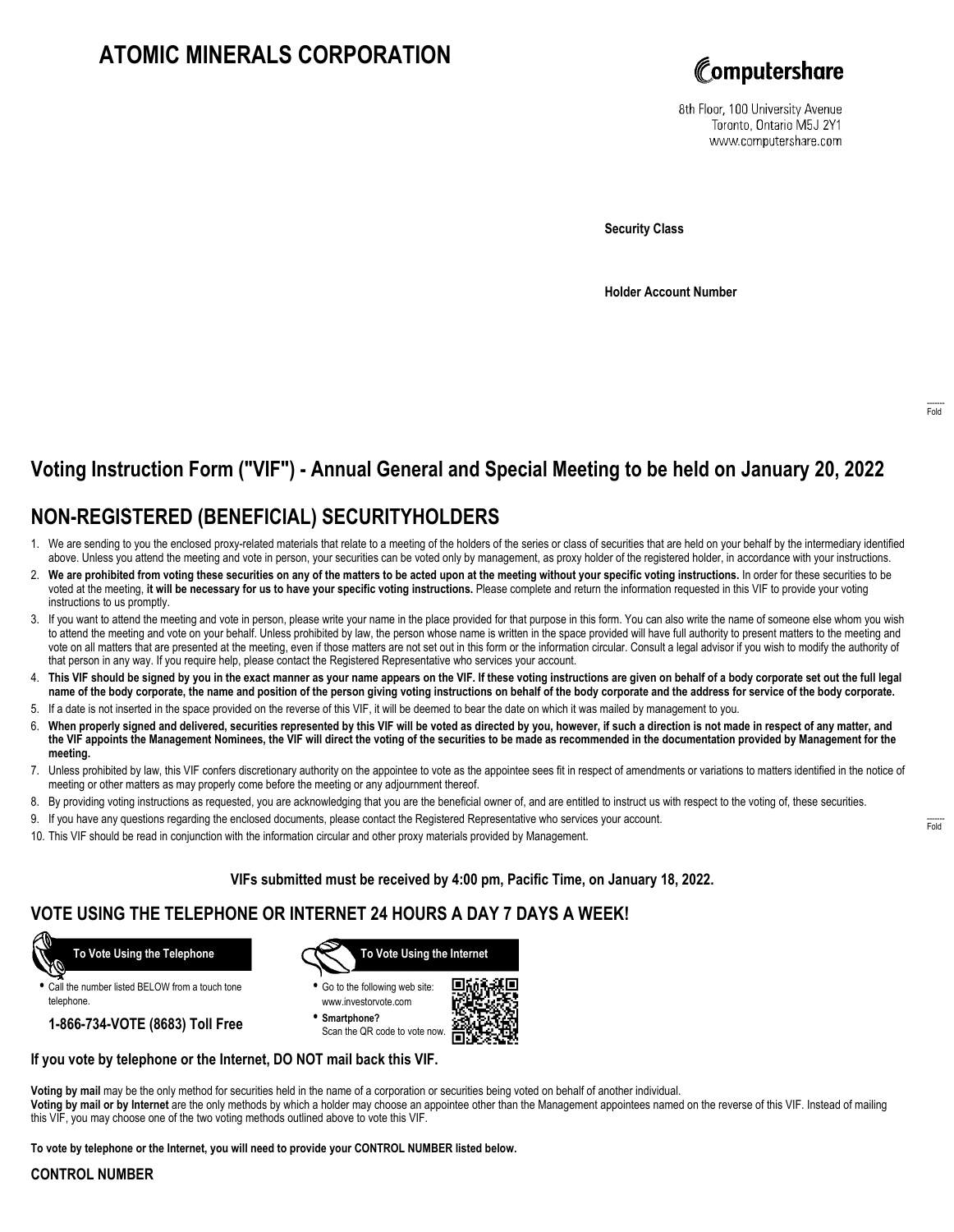# **ATOMIC MINERALS CORPORATION**



8th Floor, 100 University Avenue Toronto, Ontario M5J 2Y1 www.computershare.com

**Security Class**

**Holder Account Number**

## **Voting Instruction Form ("VIF") - Annual General and Special Meeting to be held on January 20, 2022**

## **NON-REGISTERED (BENEFICIAL) SECURITYHOLDERS**

- 1. We are sending to you the enclosed proxy-related materials that relate to a meeting of the holders of the series or class of securities that are held on your behalf by the intermediary identified above. Unless you attend the meeting and vote in person, your securities can be voted only by management, as proxy holder of the registered holder, in accordance with your instructions.
- 2. **We are prohibited from voting these securities on any of the matters to be acted upon at the meeting without your specific voting instructions.** In order for these securities to be voted at the meeting, **it will be necessary for us to have your specific voting instructions.** Please complete and return the information requested in this VIF to provide your voting instructions to us promptly.
- 3. If you want to attend the meeting and vote in person, please write your name in the place provided for that purpose in this form. You can also write the name of someone else whom you wish to attend the meeting and vote on your behalf. Unless prohibited by law, the person whose name is written in the space provided will have full authority to present matters to the meeting and vote on all matters that are presented at the meeting, even if those matters are not set out in this form or the information circular. Consult a legal advisor if you wish to modify the authority of that person in any way. If you require help, please contact the Registered Representative who services your account.
- 4. **This VIF should be signed by you in the exact manner as your name appears on the VIF. If these voting instructions are given on behalf of a body corporate set out the full legal name of the body corporate, the name and position of the person giving voting instructions on behalf of the body corporate and the address for service of the body corporate.**
- 5. If a date is not inserted in the space provided on the reverse of this VIF, it will be deemed to bear the date on which it was mailed by management to you.
- 6. **When properly signed and delivered, securities represented by this VIF will be voted as directed by you, however, if such a direction is not made in respect of any matter, and the VIF appoints the Management Nominees, the VIF will direct the voting of the securities to be made as recommended in the documentation provided by Management for the meeting.**
- 7. Unless prohibited by law, this VIF confers discretionary authority on the appointee to vote as the appointee sees fit in respect of amendments or variations to matters identified in the notice of meeting or other matters as may properly come before the meeting or any adjournment thereof.
- 8. By providing voting instructions as requested, you are acknowledging that you are the beneficial owner of, and are entitled to instruct us with respect to the voting of, these securities.
- 9. If you have any questions regarding the enclosed documents, please contact the Registered Representative who services your account.
- 10. This VIF should be read in conjunction with the information circular and other proxy materials provided by Management.

**VIFs submitted must be received by 4:00 pm, Pacific Time, on January 18, 2022.**

### **VOTE USING THE TELEPHONE OR INTERNET 24 HOURS A DAY 7 DAYS A WEEK!**



**•** Call the number listed BELOW from a touch tone telephone.

**1-866-734-VOTE (8683) Toll Free**



**•** Go to the following web site: www.investorvote.com

**• Smartphone?** Scan the QR code to vote now.



### **If you vote by telephone or the Internet, DO NOT mail back this VIF.**

**Voting by mail** may be the only method for securities held in the name of a corporation or securities being voted on behalf of another individual. **Voting by mail or by Internet** are the only methods by which a holder may choose an appointee other than the Management appointees named on the reverse of this VIF. Instead of mailing this VIF, you may choose one of the two voting methods outlined above to vote this VIF.

**To vote by telephone or the Internet, you will need to provide your CONTROL NUMBER listed below.**

#### **CONTROL NUMBER**